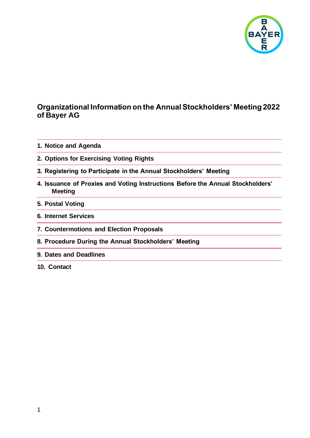

#### **Organizational Information on the Annual Stockholders' Meeting 2022 of Bayer AG**

- **1. [Notice and Agenda](#page-1-0)**
- **2. [Options for Exercising Voting Rights](#page-1-1)**
- **3. [Registering to Participate in the Annual Stockholders' Meeting](#page-2-0)**
- **4. [Issuance of Proxies and Voting Instructions Before the Annual Stockholders'](#page-2-1)  [Meeting](#page-2-1)**
- **5. Postal [Voting](#page-4-0)**
- **6. [Internet Services](#page-4-1)**
- **7. [Countermotions and Election Proposals](#page-6-0)**
- **8. [Procedure During the Annual Stockholders' Meeting](#page-6-1)**
- **9. [Dates and Deadlines](#page-8-0)**
- **10. [Contact](#page-8-1)**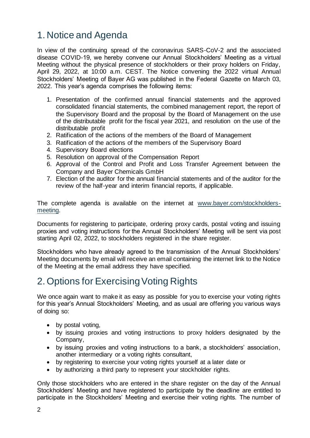# <span id="page-1-0"></span>1. Notice and Agenda

In view of the continuing spread of the coronavirus SARS-CoV-2 and the associated disease COVID-19, we hereby convene our Annual Stockholders' Meeting as a virtual Meeting without the physical presence of stockholders or their proxy holders on Friday, April 29, 2022, at 10:00 a.m. CEST. The Notice convening the 2022 virtual Annual Stockholders' Meeting of Bayer AG was published in the Federal Gazette on March 03, 2022. This year's agenda comprises the following items:

- 1. Presentation of the confirmed annual financial statements and the approved consolidated financial statements, the combined management report, the report of the Supervisory Board and the proposal by the Board of Management on the use of the distributable profit for the fiscal year 2021, and resolution on the use of the distributable profit
- 2. Ratification of the actions of the members of the Board of Management
- 3. Ratification of the actions of the members of the Supervisory Board
- 4. Supervisory Board elections
- 5. Resolution on approval of the Compensation Report
- 6. Approval of the Control and Profit and Loss Transfer Agreement between the Company and Bayer Chemicals GmbH
- 7. Election of the auditor for the annual financial statements and of the auditor for the review of the half-year and interim financial reports, if applicable.

The complete agenda is available on the internet at [www.bayer.com/stockholders](http://www.bayer.com/stockholders-meeting)[meeting.](http://www.bayer.com/stockholders-meeting)

Documents for registering to participate, ordering proxy cards, postal voting and issuing proxies and voting instructions for the Annual Stockholders' Meeting will be sent via post starting April 02, 2022, to stockholders registered in the share register.

Stockholders who have already agreed to the transmission of the Annual Stockholders' Meeting documents by email will receive an email containing the internet link to the Notice of the Meeting at the email address they have specified.

# <span id="page-1-1"></span>2. Options for Exercising Voting Rights

We once again want to make it as easy as possible for you to exercise your voting rights for this year's Annual Stockholders' Meeting, and as usual are offering you various ways of doing so:

- by postal voting,
- by issuing proxies and voting instructions to proxy holders designated by the Company,
- by issuing proxies and voting instructions to a bank, a stockholders' association, another intermediary or a voting rights consultant,
- by registering to exercise your voting rights yourself at a later date or
- by authorizing a third party to represent your stockholder rights.

Only those stockholders who are entered in the share register on the day of the Annual Stockholders' Meeting and have registered to participate by the deadline are entitled to participate in the Stockholders' Meeting and exercise their voting rights. The number of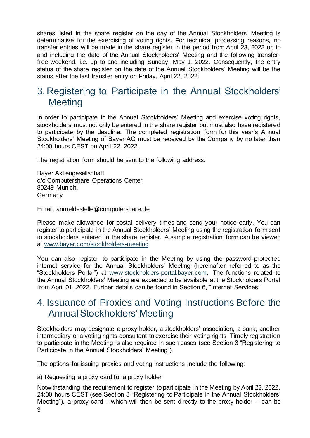shares listed in the share register on the day of the Annual Stockholders' Meeting is determinative for the exercising of voting rights. For technical processing reasons, no transfer entries will be made in the share register in the period from April 23, 2022 up to and including the date of the Annual Stockholders' Meeting and the following transferfree weekend, i.e. up to and including Sunday, May 1, 2022. Consequently, the entry status of the share register on the date of the Annual Stockholders' Meeting will be the status after the last transfer entry on Friday, April 22, 2022.

### <span id="page-2-0"></span>3. Registering to Participate in the Annual Stockholders' **Meeting**

In order to participate in the Annual Stockholders' Meeting and exercise voting rights, stockholders must not only be entered in the share register but must also have registered to participate by the deadline. The completed registration form for this year's Annual Stockholders' Meeting of Bayer AG must be received by the Company by no later than 24:00 hours CEST on April 22, 2022.

The registration form should be sent to the following address:

Bayer Aktiengesellschaft c/o Computershare Operations Center 80249 Munich, **Germany** 

Email: [anmeldestelle@computershare.de](mailto:anmeldestelle@computershare.de)

Please make allowance for postal delivery times and send your notice early. You can register to participate in the Annual Stockholders' Meeting using the registration form sent to stockholders entered in the share register. A sample registration form can be viewed at [www.bayer.com/stockholders-meeting](http://www.bayer.com/stockholders-meeting)

You can also register to participate in the Meeting by using the password-protected internet service for the Annual Stockholders' Meeting (hereinafter referred to as the "Stockholders Portal") at [www.stockholders-portal.bayer.com.](http://www.stockholders-portal.bayer.com/) The functions related to the Annual Stockholders' Meeting are expected to be available at the Stockholders Portal from April 01, 2022. Further details can be found in Section 6, "Internet Services."

### <span id="page-2-1"></span>4. Issuance of Proxies and Voting Instructions Before the Annual Stockholders' Meeting

Stockholders may designate a proxy holder, a stockholders' association, a bank, another intermediary or a voting rights consultant to exercise their voting rights. Timely registration to participate in the Meeting is also required in such cases (see Section 3 "Registering to Participate in the Annual Stockholders' Meeting").

The options for issuing proxies and voting instructions include the following:

a) Requesting a proxy card for a proxy holder

Notwithstanding the requirement to register to participate in the Meeting by April 22, 2022, 24:00 hours CEST (see Section 3 "Registering to Participate in the Annual Stockholders' Meeting"), a proxy card – which will then be sent directly to the proxy holder – can be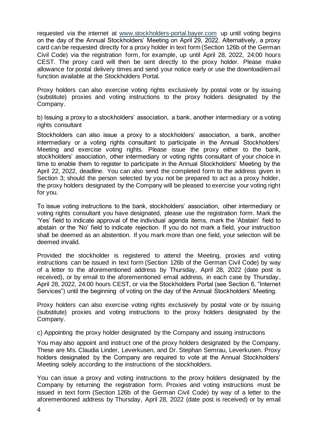requested via the internet at [www.stockholders-portal.bayer.com](http://www.stockholders-portal.bayer.com/) up until voting begins on the day of the Annual Stockholders' Meeting on April 29, 2022. Alternatively, a proxy card can be requested directly for a proxy holder in text form (Section 126b of the German Civil Code) via the registration form, for example, up until April 28, 2022, 24:00 hours CEST. The proxy card will then be sent directly to the proxy holder. Please make allowance for postal delivery times and send your notice early or use the download/email function available at the Stockholders Portal.

Proxy holders can also exercise voting rights exclusively by postal vote or by issuing (substitute) proxies and voting instructions to the proxy holders designated by the Company.

b) Issuing a proxy to a stockholders' association, a bank, another intermediary or a voting rights consultant

Stockholders can also issue a proxy to a stockholders' association, a bank, another intermediary or a voting rights consultant to participate in the Annual Stockholders' Meeting and exercise voting rights. Please issue the proxy either to the bank, stockholders' association, other intermediary or voting rights consultant of your choice in time to enable them to register to participate in the Annual Stockholders' Meeting by the April 22, 2022, deadline. You can also send the completed form to the address given in Section 3; should the person selected by you not be prepared to act as a proxy holder, the proxy holders designated by the Company will be pleased to exercise your voting right for you.

To issue voting instructions to the bank, stockholders' association, other intermediary or voting rights consultant you have designated, please use the registration form. Mark the 'Yes' field to indicate approval of the individual agenda items, mark the 'Abstain' field to abstain or the 'No' field to indicate rejection. If you do not mark a field, your instruction shall be deemed as an abstention. If you mark more than one field, your selection will be deemed invalid.

Provided the stockholder is registered to attend the Meeting, proxies and voting instructions can be issued in text form (Section 126b of the German Civil Code) by way of a letter to the aforementioned address by Thursday, April 28, 2022 (date post is received), or by email to the aforementioned email address, in each case by Thursday, April 28, 2022, 24:00 hours CEST, or via the Stockholders Portal (see Section 6, "Internet Services") until the beginning of voting on the day of the Annual Stockholders' Meeting.

Proxy holders can also exercise voting rights exclusively by postal vote or by issuing (substitute) proxies and voting instructions to the proxy holders designated by the Company.

c) Appointing the proxy holder designated by the Company and issuing instructions

You may also appoint and instruct one of the proxy holders designated by the Company. These are Ms. Claudia Linder, Leverkusen, and Dr. Stephan Semrau, Leverkusen. Proxy holders designated by the Company are required to vote at the Annual Stockholders' Meeting solely according to the instructions of the stockholders.

You can issue a proxy and voting instructions to the proxy holders designated by the Company by returning the registration form. Proxies and voting instructions must be issued in text form (Section 126b of the German Civil Code) by way of a letter to the aforementioned address by Thursday, April 28, 2022 (date post is received) or by email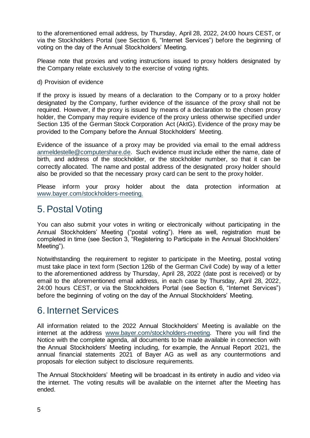to the aforementioned email address, by Thursday, April 28, 2022, 24:00 hours CEST, or via the Stockholders Portal (see Section 6, "Internet Services") before the beginning of voting on the day of the Annual Stockholders' Meeting.

Please note that proxies and voting instructions issued to proxy holders designated by the Company relate exclusively to the exercise of voting rights.

#### d) Provision of evidence

If the proxy is issued by means of a declaration to the Company or to a proxy holder designated by the Company, further evidence of the issuance of the proxy shall not be required. However, if the proxy is issued by means of a declaration to the chosen proxy holder, the Company may require evidence of the proxy unless otherwise specified under Section 135 of the German Stock Corporation Act (AktG). Evidence of the proxy may be provided to the Company before the Annual Stockholders' Meeting.

Evidence of the issuance of a proxy may be provided via email to the email address [anmeldestelle@computershare.de.](mailto:anmeldestelle@computershare.de) Such evidence must include either the name, date of birth, and address of the stockholder, or the stockholder number, so that it can be correctly allocated. The name and postal address of the designated proxy holder should also be provided so that the necessary proxy card can be sent to the proxy holder.

Please inform your proxy holder about the data protection information at [www.bayer.com/stockholders-meeting.](http://www.bayer.com/stockholders-meeting)

### <span id="page-4-0"></span>5.Postal Voting

You can also submit your votes in writing or electronically without participating in the Annual Stockholders' Meeting ("postal voting"). Here as well, registration must be completed in time (see Section 3, "Registering to Participate in the Annual Stockholders' Meeting").

Notwithstanding the requirement to register to participate in the Meeting, postal voting must take place in text form (Section 126b of the German Civil Code) by way of a letter to the aforementioned address by Thursday, April 28, 2022 (date post is received) or by email to the aforementioned email address, in each case by Thursday, April 28, 2022, 24:00 hours CEST, or via the Stockholders Portal (see Section 6, "Internet Services") before the beginning of voting on the day of the Annual Stockholders' Meeting.

#### <span id="page-4-1"></span>6. Internet Services

All information related to the 2022 Annual Stockholders' Meeting is available on the internet at the address [www.bayer.com/stockholders-meeting.](http://www.bayer.com/stockholders-meeting) There you will find the Notice with the complete agenda, all documents to be made available in connection with the Annual Stockholders' Meeting including, for example, the Annual Report 2021, the annual financial statements 2021 of Bayer AG as well as any countermotions and proposals for election subject to disclosure requirements.

The Annual Stockholders' Meeting will be broadcast in its entirety in audio and video via the internet. The voting results will be available on the internet after the Meeting has ended.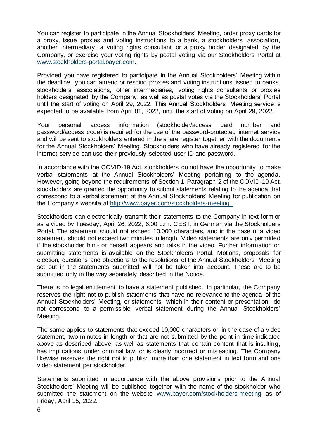You can register to participate in the Annual Stockholders' Meeting, order proxy cards for a proxy, issue proxies and voting instructions to a bank, a stockholders' association, another intermediary, a voting rights consultant or a proxy holder designated by the Company, or exercise your voting rights by postal voting via our Stockholders Portal at [www.stockholders-portal.bayer.com.](http://www.stockholders-portal.bayer.com/) 

Provided you have registered to participate in the Annual Stockholders' Meeting within the deadline, you can amend or rescind proxies and voting instructions issued to banks, stockholders' associations, other intermediaries, voting rights consultants or proxies holders designated by the Company, as well as postal votes via the Stockholders' Portal until the start of voting on April 29, 2022. This Annual Stockholders' Meeting service is expected to be available from April 01, 2022, until the start of voting on April 29, 2022.

Your personal access information (stockholder/access card number and password/access code) is required for the use of the password-protected internet service and will be sent to stockholders entered in the share register together with the documents for the Annual Stockholders' Meeting. Stockholders who have already registered for the internet service can use their previously selected user ID and password.

In accordance with the COVID-19 Act, stockholders do not have the opportunity to make verbal statements at the Annual Stockholders' Meeting pertaining to the agenda. However, going beyond the requirements of Section 1, Paragraph 2 of the COVID-19 Act, stockholders are granted the opportunity to submit statements relating to the agenda that correspond to a verbal statement at the Annual Stockholders' Meeting for publication on the Company's website at <http://www.bayer.com/stockholders-meeting> .

Stockholders can electronically transmit their statements to the Company in text form or as a video by Tuesday, April 26, 2022, 6:00 p.m. CEST, in German via the Stockholders Portal. The statement should not exceed 10,000 characters, and in the case of a video statement, should not exceed two minutes in length. Video statements are only permitted if the stockholder him- or herself appears and talks in the video. Further information on submitting statements is available on the Stockholders Portal. Motions, proposals for election, questions and objections to the resolutions of the Annual Stockholders' Meeting set out in the statements submitted will not be taken into account. These are to be submitted only in the way separately described in the Notice.

There is no legal entitlement to have a statement published. In particular, the Company reserves the right not to publish statements that have no relevance to the agenda of the Annual Stockholders' Meeting, or statements, which in their content or presentation, do not correspond to a permissible verbal statement during the Annual Stockholders' Meeting.

The same applies to statements that exceed 10,000 characters or, in the case of a video statement, two minutes in length or that are not submitted by the point in time indicated above as described above, as well as statements that contain content that is insulting, has implications under criminal law, or is clearly incorrect or misleading. The Company likewise reserves the right not to publish more than one statement in text form and one video statement per stockholder.

Statements submitted in accordance with the above provisions prior to the Annual Stockholders' Meeting will be published together with the name of the stockholder who submitted the statement on the website [www.bayer.com/stockholders-meeting](http://www.bayer.com/stockholders-meeting) as of Friday, April 15, 2022.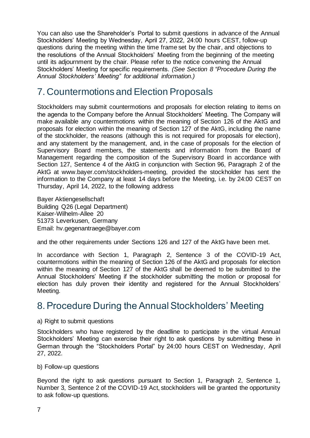You can also use the Shareholder's Portal to submit questions in advance of the Annual Stockholders' Meeting by Wednesday, April 27, 2022, 24:00 hours CEST, follow-up questions during the meeting within the time frame set by the chair, and objections to the resolutions of the Annual Stockholders' Meeting from the beginning of the meeting until its adjournment by the chair. Please refer to the notice convening the Annual Stockholders' Meeting for specific requirements. *(See Section 8 "Procedure During the Annual Stockholders' Meeting" for additional information.)*

# <span id="page-6-0"></span>7. Countermotions and Election Proposals

Stockholders may submit countermotions and proposals for election relating to items on the agenda to the Company before the Annual Stockholders' Meeting. The Company will make available any countermotions within the meaning of Section 126 of the AktG and proposals for election within the meaning of Section 127 of the AktG, including the name of the stockholder, the reasons (although this is not required for proposals for election), and any statement by the management, and, in the case of proposals for the election of Supervisory Board members, the statements and information from the Board of Management regarding the composition of the Supervisory Board in accordance with Section 127, Sentence 4 of the AktG in conjunction with Section 96, Paragraph 2 of the AktG at www.bayer.com/stockholders-meeting, provided the stockholder has sent the information to the Company at least 14 days before the Meeting, i.e. by 24:00 CEST on Thursday, April 14, 2022, to the following address

Bayer Aktiengesellschaft Building Q26 (Legal Department) Kaiser-Wilhelm-Allee 20 51373 Leverkusen, Germany Email: hv.gegenantraege@bayer.com

and the other requirements under Sections 126 and 127 of the AktG have been met.

In accordance with Section 1, Paragraph 2, Sentence 3 of the COVID-19 Act, countermotions within the meaning of Section 126 of the AktG and proposals for election within the meaning of Section 127 of the AktG shall be deemed to be submitted to the Annual Stockholders' Meeting if the stockholder submitting the motion or proposal for election has duly proven their identity and registered for the Annual Stockholders' Meeting.

### <span id="page-6-1"></span>8.Procedure During the Annual Stockholders' Meeting

a) Right to submit questions

Stockholders who have registered by the deadline to participate in the virtual Annual Stockholders' Meeting can exercise their right to ask questions by submitting these in German through the "Stockholders Portal" by 24:00 hours CEST on Wednesday, April 27, 2022.

b) Follow-up questions

Beyond the right to ask questions pursuant to Section 1, Paragraph 2, Sentence 1, Number 3, Sentence 2 of the COVID-19 Act, stockholders will be granted the opportunity to ask follow-up questions.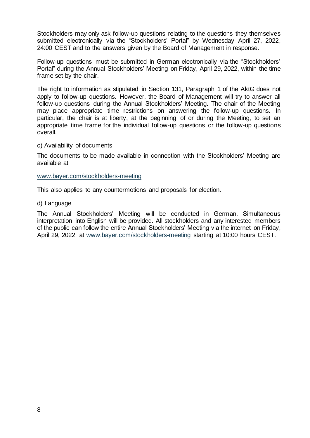Stockholders may only ask follow-up questions relating to the questions they themselves submitted electronically via the "Stockholders' Portal" by Wednesday April 27, 2022, 24:00 CEST and to the answers given by the Board of Management in response.

Follow-up questions must be submitted in German electronically via the "Stockholders' Portal" during the Annual Stockholders' Meeting on Friday, April 29, 2022, within the time frame set by the chair.

The right to information as stipulated in Section 131, Paragraph 1 of the AktG does not apply to follow-up questions. However, the Board of Management will try to answer all follow-up questions during the Annual Stockholders' Meeting. The chair of the Meeting may place appropriate time restrictions on answering the follow-up questions. In particular, the chair is at liberty, at the beginning of or during the Meeting, to set an appropriate time frame for the individual follow-up questions or the follow-up questions overall.

#### c) Availability of documents

The documents to be made available in connection with the Stockholders' Meeting are available at

#### [www.bayer.com/stockholders-meeting](http://www.bayer.com/stockholders-meeting)

This also applies to any countermotions and proposals for election.

#### d) Language

The Annual Stockholders' Meeting will be conducted in German. Simultaneous interpretation into English will be provided. All stockholders and any interested members of the public can follow the entire Annual Stockholders' Meeting via the internet on Friday, April 29, 2022, at [www.bayer.com/stockholders-meeting](http://www.bayer.com/stockholders-meeting) starting at 10:00 hours CEST.